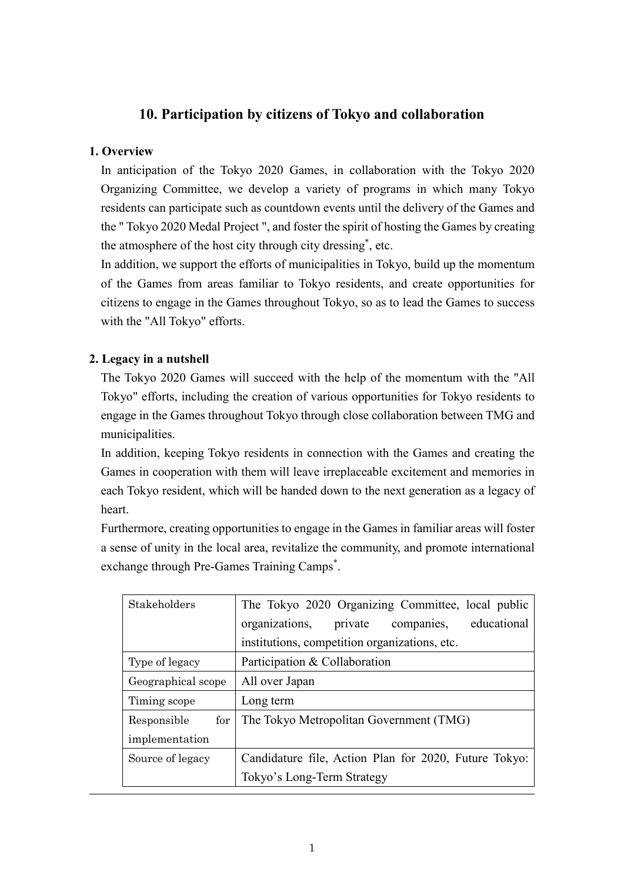## **10. Participation by citizens of Tokyo and collaboration**

#### **1. Overview**

In anticipation of the Tokyo 2020 Games, in collaboration with the Tokyo 2020 Organizing Committee, we develop a variety of programs in which many Tokyo residents can participate such as countdown events until the delivery of the Games and the " Tokyo 2020 Medal Project ", and foster the spirit of hosting the Games by creating the atmosphere of the host city through city dressing\* , etc.

In addition, we support the efforts of municipalities in Tokyo, build up the momentum of the Games from areas familiar to Tokyo residents, and create opportunities for citizens to engage in the Games throughout Tokyo, so as to lead the Games to success with the "All Tokyo" efforts.

#### **2. Legacy in a nutshell**

The Tokyo 2020 Games will succeed with the help of the momentum with the "All Tokyo" efforts, including the creation of various opportunities for Tokyo residents to engage in the Games throughout Tokyo through close collaboration between TMG and municipalities.

In addition, keeping Tokyo residents in connection with the Games and creating the Games in cooperation with them will leave irreplaceable excitement and memories in each Tokyo resident, which will be handed down to the next generation as a legacy of heart.

Furthermore, creating opportunities to engage in the Games in familiar areas will foster a sense of unity in the local area, revitalize the community, and promote international exchange through Pre-Games Training Camps<sup>\*</sup>.

| Stakeholders       | The Tokyo 2020 Organizing Committee, local public     |
|--------------------|-------------------------------------------------------|
|                    | organizations, private<br>educational<br>companies,   |
|                    | institutions, competition organizations, etc.         |
| Type of legacy     | Participation & Collaboration                         |
| Geographical scope | All over Japan                                        |
| Timing scope       | Long term                                             |
| for<br>Responsible | The Tokyo Metropolitan Government (TMG)               |
| implementation     |                                                       |
| Source of legacy   | Candidature file, Action Plan for 2020, Future Tokyo: |
|                    | Tokyo's Long-Term Strategy                            |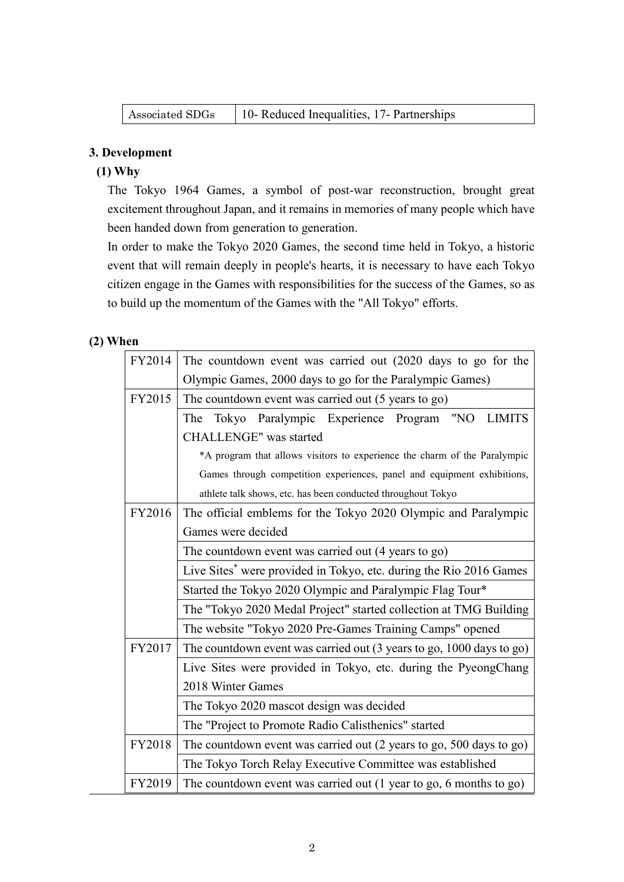| Associated SDGs | 10- Reduced Inequalities, 17- Partnerships |  |
|-----------------|--------------------------------------------|--|
|-----------------|--------------------------------------------|--|

#### **3. Development**

### **(1) Why**

The Tokyo 1964 Games, a symbol of post-war reconstruction, brought great excitement throughout Japan, and it remains in memories of many people which have been handed down from generation to generation.

In order to make the Tokyo 2020 Games, the second time held in Tokyo, a historic event that will remain deeply in people's hearts, it is necessary to have each Tokyo citizen engage in the Games with responsibilities for the success of the Games, so as to build up the momentum of the Games with the "All Tokyo" efforts.

#### **(2) When**

| FY2014 | The countdown event was carried out (2020 days to go for the                         |  |
|--------|--------------------------------------------------------------------------------------|--|
|        | Olympic Games, 2000 days to go for the Paralympic Games)                             |  |
| FY2015 | The countdown event was carried out (5 years to go)                                  |  |
|        | Tokyo Paralympic Experience Program "NO<br><b>LIMITS</b><br>The                      |  |
|        | <b>CHALLENGE"</b> was started                                                        |  |
|        | *A program that allows visitors to experience the charm of the Paralympic            |  |
|        | Games through competition experiences, panel and equipment exhibitions,              |  |
|        | athlete talk shows, etc. has been conducted throughout Tokyo                         |  |
| FY2016 | The official emblems for the Tokyo 2020 Olympic and Paralympic                       |  |
|        | Games were decided                                                                   |  |
|        | The countdown event was carried out (4 years to go)                                  |  |
|        | Live Sites <sup>*</sup> were provided in Tokyo, etc. during the Rio 2016 Games       |  |
|        | Started the Tokyo 2020 Olympic and Paralympic Flag Tour*                             |  |
|        | The "Tokyo 2020 Medal Project" started collection at TMG Building                    |  |
|        | The website "Tokyo 2020 Pre-Games Training Camps" opened                             |  |
| FY2017 | The countdown event was carried out (3 years to go, 1000 days to go)                 |  |
|        | Live Sites were provided in Tokyo, etc. during the PyeongChang                       |  |
|        | 2018 Winter Games                                                                    |  |
|        | The Tokyo 2020 mascot design was decided                                             |  |
|        | The "Project to Promote Radio Calisthenics" started                                  |  |
| FY2018 | The countdown event was carried out (2 years to go, 500 days to go)                  |  |
|        | The Tokyo Torch Relay Executive Committee was established                            |  |
| FY2019 | The countdown event was carried out $(1 \text{ year to go}, 6 \text{ months to go})$ |  |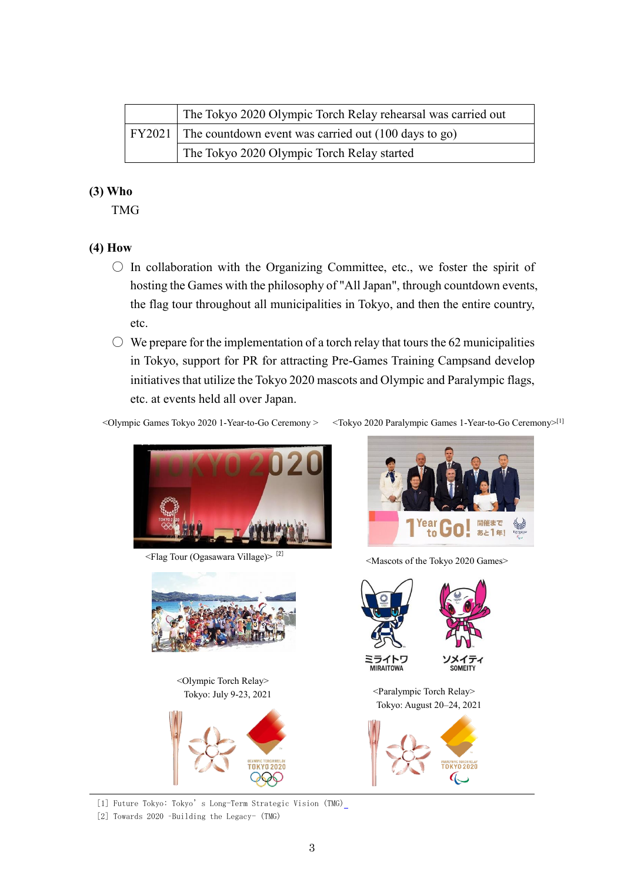| The Tokyo 2020 Olympic Torch Relay rehearsal was carried out  |
|---------------------------------------------------------------|
| FY2021   The countdown event was carried out (100 days to go) |
| The Tokyo 2020 Olympic Torch Relay started                    |

#### **(3) Who**

TMG

#### **(4) How**

- $\bigcirc$  In collaboration with the Organizing Committee, etc., we foster the spirit of hosting the Games with the philosophy of "All Japan", through countdown events, the flag tour throughout all municipalities in Tokyo, and then the entire country, etc.
- $\circlearrowright$  We prepare for the implementation of a torch relay that tours the 62 municipalities in Tokyo, support for PR for attracting Pre-Games Training Campsand develop initiatives that utilize the Tokyo 2020 mascots and Olympic and Paralympic flags, etc. at events held all over Japan.

<Olympic Games Tokyo 2020 1-Year-to-Go Ceremony > <Tokyo 2020 Paralympic Games 1-Year-to-Go Ceremony>[1]



<Flag Tour (Ogasawara Village)> [2]



<Olympic Torch Relay>





<Mascots of the Tokyo 2020 Games>





[1] Future Tokyo: Tokyo's Long-Term Strategic Vision (TMG)

[2] Towards 2020 –Building the Legacy- (TMG)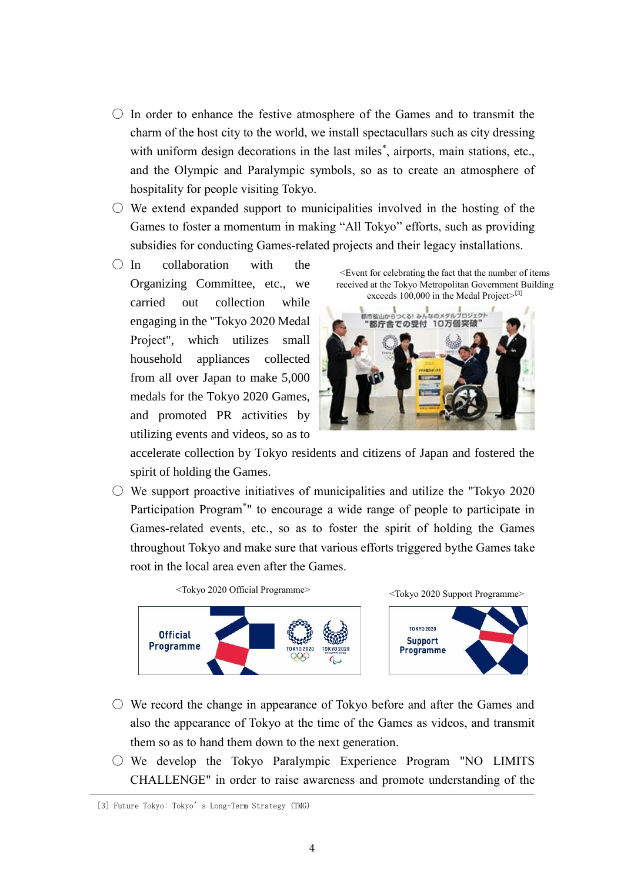- $\circ$  In order to enhance the festive atmosphere of the Games and to transmit the charm of the host city to the world, we install spectacullars such as city dressing with uniform design decorations in the last miles<sup>\*</sup>, airports, main stations, etc., and the Olympic and Paralympic symbols, so as to create an atmosphere of hospitality for people visiting Tokyo.
- $\circlearrowright$  We extend expanded support to municipalities involved in the hosting of the Games to foster a momentum in making "All Tokyo" efforts, such as providing subsidies for conducting Games-related projects and their legacy installations.
- $\bigcap$  In collaboration with the Organizing Committee, etc., we carried out collection while engaging in the "Tokyo 2020 Medal Project", which utilizes small household appliances collected from all over Japan to make 5,000 medals for the Tokyo 2020 Games, and promoted PR activities by utilizing events and videos, so as to

<Event for celebrating the fact that the number of items received at the Tokyo Metropolitan Government Building exceeds  $100,000$  in the Medal Project $>^{[3]}$ 



accelerate collection by Tokyo residents and citizens of Japan and fostered the spirit of holding the Games.

 $\circ$  We support proactive initiatives of municipalities and utilize the "Tokyo 2020" Participation Program\* " to encourage a wide range of people to participate in Games-related events, etc., so as to foster the spirit of holding the Games throughout Tokyo and make sure that various efforts triggered bythe Games take root in the local area even after the Games.



- We record the change in appearance of Tokyo before and after the Games and also the appearance of Tokyo at the time of the Games as videos, and transmit them so as to hand them down to the next generation.
- $\circ$  We develop the Tokyo Paralympic Experience Program "NO LIMITS CHALLENGE" in order to raise awareness and promote understanding of the

<sup>[3]</sup> Future Tokyo: Tokyo's Long-Term Strategy (TMG)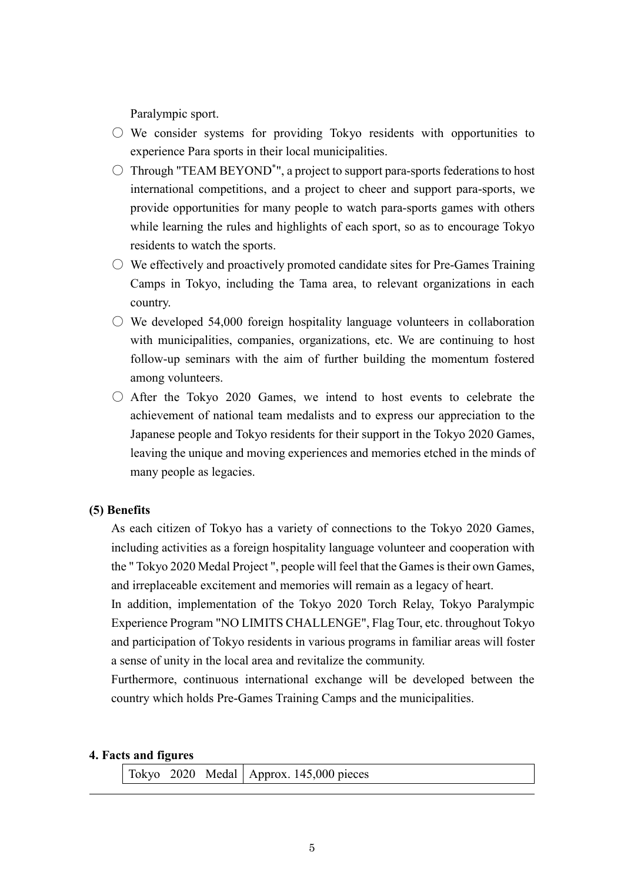Paralympic sport.

- $\circlearrowright$  We consider systems for providing Tokyo residents with opportunities to experience Para sports in their local municipalities.
- $\bigcirc$  Through "TEAM BEYOND<sup>\*</sup>", a project to support para-sports federations to host international competitions, and a project to cheer and support para-sports, we provide opportunities for many people to watch para-sports games with others while learning the rules and highlights of each sport, so as to encourage Tokyo residents to watch the sports.
- $\circ$  We effectively and proactively promoted candidate sites for Pre-Games Training Camps in Tokyo, including the Tama area, to relevant organizations in each country.
- $\circ$  We developed 54,000 foreign hospitality language volunteers in collaboration with municipalities, companies, organizations, etc. We are continuing to host follow-up seminars with the aim of further building the momentum fostered among volunteers.
- $\circ$  After the Tokyo 2020 Games, we intend to host events to celebrate the achievement of national team medalists and to express our appreciation to the Japanese people and Tokyo residents for their support in the Tokyo 2020 Games, leaving the unique and moving experiences and memories etched in the minds of many people as legacies.

#### **(5) Benefits**

As each citizen of Tokyo has a variety of connections to the Tokyo 2020 Games, including activities as a foreign hospitality language volunteer and cooperation with the " Tokyo 2020 Medal Project ", people will feel that the Games is their own Games, and irreplaceable excitement and memories will remain as a legacy of heart.

In addition, implementation of the Tokyo 2020 Torch Relay, Tokyo Paralympic Experience Program "NO LIMITS CHALLENGE", Flag Tour, etc. throughout Tokyo and participation of Tokyo residents in various programs in familiar areas will foster a sense of unity in the local area and revitalize the community.

Furthermore, continuous international exchange will be developed between the country which holds Pre-Games Training Camps and the municipalities.

#### **4. Facts and figures**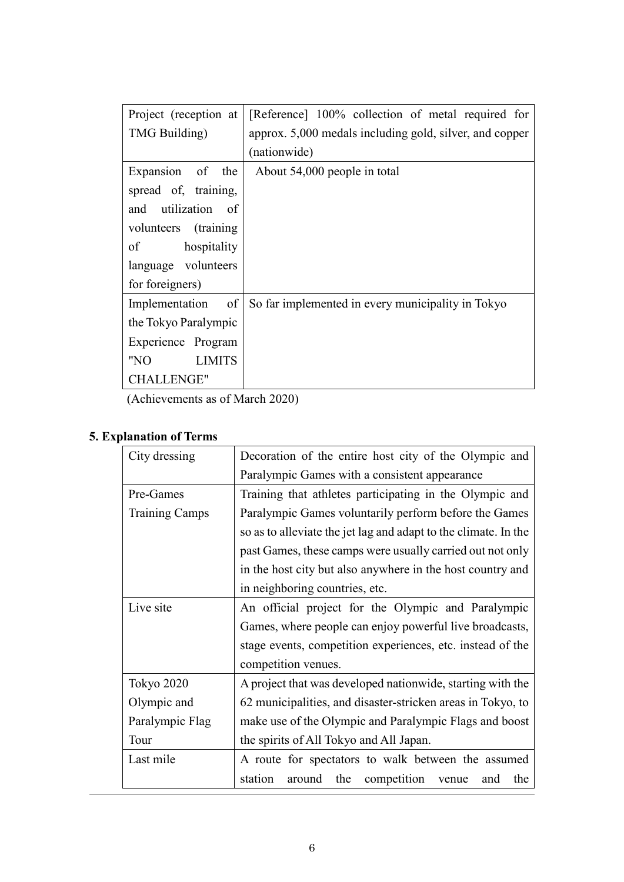| Project (reception at    | [Reference] 100% collection of metal required for       |
|--------------------------|---------------------------------------------------------|
| TMG Building)            | approx. 5,000 medals including gold, silver, and copper |
|                          | (nationwide)                                            |
| Expansion of the         | About 54,000 people in total                            |
| spread of, training,     |                                                         |
| and utilization of       |                                                         |
| volunteers (training     |                                                         |
| $\circ$ f<br>hospitality |                                                         |
| language volunteers      |                                                         |
| for foreigners)          |                                                         |
| Implementation of        | So far implemented in every municipality in Tokyo       |
| the Tokyo Paralympic     |                                                         |
| Experience Program       |                                                         |
| "NO<br><b>LIMITS</b>     |                                                         |
| <b>CHALLENGE"</b>        |                                                         |

(Achievements as of March 2020)

# **5. Explanation of Terms**

| City dressing         | Decoration of the entire host city of the Olympic and           |
|-----------------------|-----------------------------------------------------------------|
|                       | Paralympic Games with a consistent appearance                   |
| Pre-Games             | Training that athletes participating in the Olympic and         |
| <b>Training Camps</b> | Paralympic Games voluntarily perform before the Games           |
|                       | so as to alleviate the jet lag and adapt to the climate. In the |
|                       | past Games, these camps were usually carried out not only       |
|                       | in the host city but also anywhere in the host country and      |
|                       | in neighboring countries, etc.                                  |
| Live site             | An official project for the Olympic and Paralympic              |
|                       | Games, where people can enjoy powerful live broadcasts,         |
|                       | stage events, competition experiences, etc. instead of the      |
|                       | competition venues.                                             |
| <b>Tokyo 2020</b>     | A project that was developed nationwide, starting with the      |
| Olympic and           | 62 municipalities, and disaster-stricken areas in Tokyo, to     |
| Paralympic Flag       | make use of the Olympic and Paralympic Flags and boost          |
| Tour                  | the spirits of All Tokyo and All Japan.                         |
| Last mile             | A route for spectators to walk between the assumed              |
|                       | station<br>the<br>competition<br>around<br>the<br>and<br>venue  |
|                       |                                                                 |